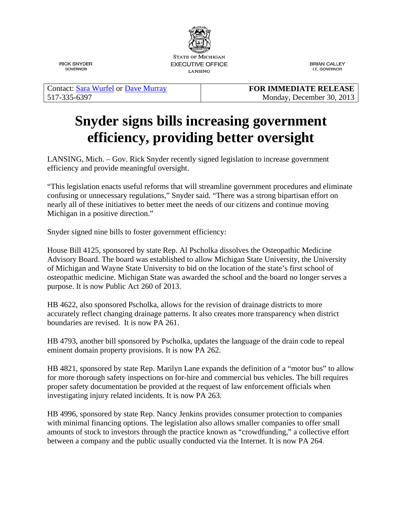

**RICK SNYDER GOVERNOR** 

**BRIAN CALLEY** LT. GOVERNOR

Contact: [Sara Wurfel](mailto:wurfels@michigan.gov) or [Dave Murray](mailto:murrayd1@michigan.gov) 517-335-6397

**FOR IMMEDIATE RELEASE** Monday, December 30, 2013

## **Snyder signs bills increasing government efficiency, providing better oversight**

LANSING, Mich. – Gov. Rick Snyder recently signed legislation to increase government efficiency and provide meaningful oversight.

"This legislation enacts useful reforms that will streamline government procedures and eliminate confusing or unnecessary regulations," Snyder said. "There was a strong bipartisan effort on nearly all of these initiatives to better meet the needs of our citizens and continue moving Michigan in a positive direction."

Snyder signed nine bills to foster government efficiency:

House Bill 4125, sponsored by state Rep. Al Pscholka dissolves the Osteopathic Medicine Advisory Board. The board was established to allow Michigan State University, the University of Michigan and Wayne State University to bid on the location of the state's first school of osteopathic medicine. Michigan State was awarded the school and the board no longer serves a purpose. It is now Public Act 260 of 2013.

HB 4622, also sponsored Pscholka, allows for the revision of drainage districts to more accurately reflect changing drainage patterns. It also creates more transparency when district boundaries are revised. It is now PA 261.

HB 4793, another bill sponsored by Pscholka, updates the language of the drain code to repeal eminent domain property provisions. It is now PA 262.

HB 4821, sponsored by state Rep. Marilyn Lane expands the definition of a "motor bus" to allow for more thorough safety inspections on for-hire and commercial bus vehicles. The bill requires proper safety documentation be provided at the request of law enforcement officials when investigating injury related incidents. It is now PA 263.

HB 4996, sponsored by state Rep. Nancy Jenkins provides consumer protection to companies with minimal financing options. The legislation also allows smaller companies to offer small amounts of stock to investors through the practice known as "crowdfunding," a collective effort between a company and the public usually conducted via the Internet. It is now PA 264.